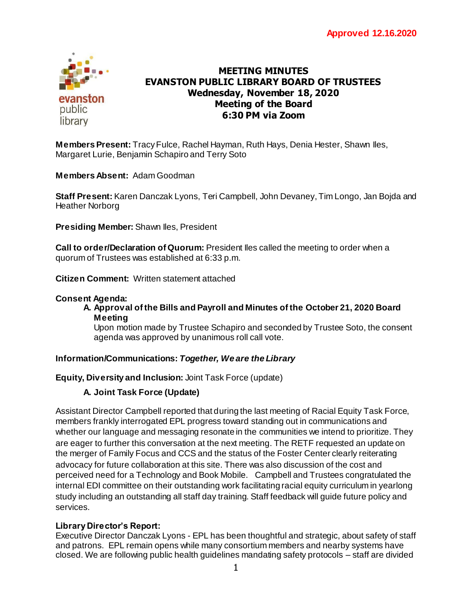

# **MEETING MINUTES EVANSTON PUBLIC LIBRARY BOARD OF TRUSTEES Wednesday, November 18, 2020 Meeting of the Board 6:30 PM via Zoom**

**Members Present:** Tracy Fulce, Rachel Hayman, Ruth Hays, Denia Hester, Shawn Iles, Margaret Lurie, Benjamin Schapiro and Terry Soto **Virtually, via Zoom**

**Members Absent:** Adam Goodman

**Staff Present:** Karen Danczak Lyons, Teri Campbell, John Devaney, Tim Longo, Jan Bojda and Heather Norborg

**Presiding Member:** Shawn Iles, President

**Call to order/Declaration of Quorum:** President Iles called the meeting to order when a quorum of Trustees was established at 6:33 p.m.

**Citizen Comment:** Written statement attached

### **Consent Agenda:**

#### **A. Approval of the Bills and Payroll and Minutes of the October 21, 2020 Board Meeting**

Upon motion made by Trustee Schapiro and seconded by Trustee Soto, the consent agenda was approved by unanimous roll call vote.

# **Information/Communications:** *Together, We are the Library*

# **Equity, Diversity and Inclusion:** Joint Task Force (update)

# **A. Joint Task Force (Update)**

Assistant Director Campbell reported that during the last meeting of Racial Equity Task Force, members frankly interrogated EPL progress toward standing out in communications and whether our language and messaging resonate in the communities we intend to prioritize. They are eager to further this conversation at the next meeting. The RETF requested an update on the merger of Family Focus and CCS and the status of the Foster Center clearly reiterating advocacy for future collaboration at this site. There was also discussion of the cost and perceived need for a Technology and Book Mobile. Campbell and Trustees congratulated the internal EDI committee on their outstanding work facilitating racial equity curriculum in yearlong study including an outstanding all staff day training. Staff feedback will guide future policy and services.

# **Library Director's Report:**

Executive Director Danczak Lyons - EPL has been thoughtful and strategic, about safety of staff and patrons. EPL remain opens while many consortium members and nearby systems have closed. We are following public health guidelines mandating safety protocols – staff are divided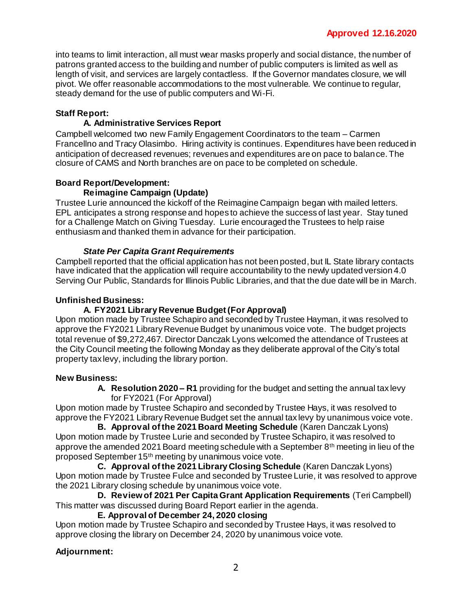into teams to limit interaction, all must wear masks properly and social distance, the number of patrons granted access to the building and number of public computers is limited as well as length of visit, and services are largely contactless. If the Governor mandates closure, we will pivot. We offer reasonable accommodations to the most vulnerable. We continue to regular, steady demand for the use of public computers and Wi-Fi.

# **Staff Report:**

### **A. Administrative Services Report**

Campbell welcomed two new Family Engagement Coordinators to the team – Carmen Francellno and Tracy Olasimbo. Hiring activity is continues. Expenditures have been reduced in anticipation of decreased revenues; revenues and expenditures are on pace to balance. The closure of CAMS and North branches are on pace to be completed on schedule.

#### **Board Report/Development: Reimagine Campaign (Update)**

Trustee Lurie announced the kickoff of the Reimagine Campaign began with mailed letters. EPL anticipates a strong response and hopes to achieve the success of last year. Stay tuned for a Challenge Match on Giving Tuesday. Lurie encouraged the Trustees to help raise enthusiasm and thanked them in advance for their participation.

#### *State Per Capita Grant Requirements*

Campbell reported that the official application has not been posted, but IL State library contacts have indicated that the application will require accountability to the newly updated version 4.0 Serving Our Public, Standards for Illinois Public Libraries, and that the due date will be in March.

#### **Unfinished Business:**

# **A. FY2021 Library Revenue Budget (For Approval)**

Upon motion made by Trustee Schapiro and seconded by Trustee Hayman, it was resolved to approve the FY2021 Library Revenue Budget by unanimous voice vote. The budget projects total revenue of \$9,272,467. Director Danczak Lyons welcomed the attendance of Trustees at the City Council meeting the following Monday as they deliberate approval of the City's total property tax levy, including the library portion.

#### **New Business:**

**A. Resolution 2020 – R1** providing for the budget and setting the annual tax levy for FY2021 (For Approval)

Upon motion made by Trustee Schapiro and seconded by Trustee Hays, it was resolved to approve the FY2021 Library Revenue Budget set the annual tax levy by unanimous voice vote.

**B. Approval of the 2021 Board Meeting Schedule** (Karen Danczak Lyons) Upon motion made by Trustee Lurie and seconded by Trustee Schapiro, it was resolved to approve the amended 2021 Board meeting schedule with a September 8th meeting in lieu of the proposed September 15th meeting by unanimous voice vote.

**C. Approval of the 2021 Library Closing Schedule** (Karen Danczak Lyons) Upon motion made by Trustee Fulce and seconded by Trustee Lurie, it was resolved to approve the 2021 Library closing schedule by unanimous voice vote.

**D. Review of 2021 Per Capita Grant Application Requirements** (Teri Campbell) This matter was discussed during Board Report earlier in the agenda.

#### **E. Approval of December 24, 2020 closing**

Upon motion made by Trustee Schapiro and seconded by Trustee Hays, it was resolved to approve closing the library on December 24, 2020 by unanimous voice vote.

# **Adjournment:**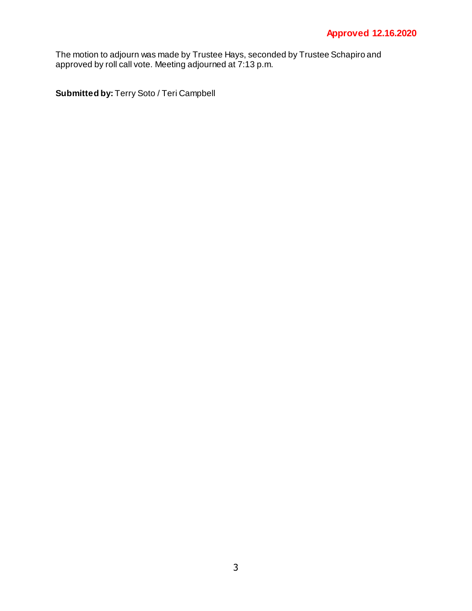The motion to adjourn was made by Trustee Hays, seconded by Trustee Schapiro and approved by roll call vote. Meeting adjourned at 7:13 p.m.

**Submitted by:** Terry Soto / Teri Campbell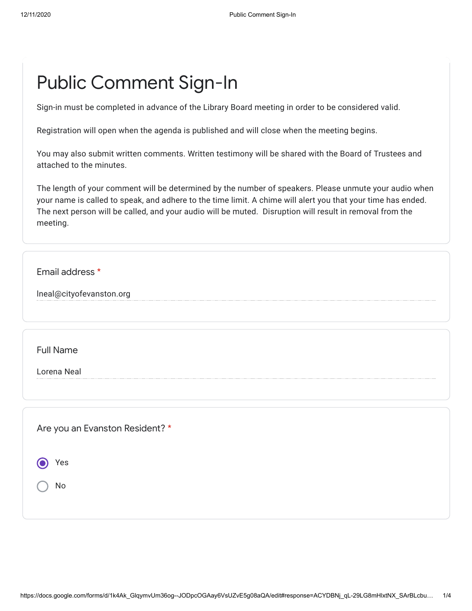# Public Comment Sign-In

Sign-in must be completed in advance of the Library Board meeting in order to be considered valid.

Registration will open when the agenda is published and will close when the meeting begins.

You may also submit written comments. Written testimony will be shared with the Board of Trustees and attached to the minutes.

The length of your comment will be determined by the number of speakers. Please unmute your audio when your name is called to speak, and adhere to the time limit. A chime will alert you that your time has ended. The next person will be called, and your audio will be muted. Disruption will result in removal from the meeting.

Email address \*

lneal@cityofevanston.org

Full Name

Lorena Neal

Are you an Evanston Resident? \*

Yes

No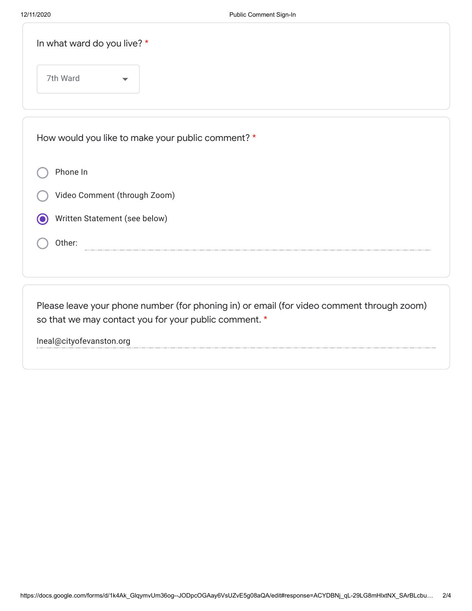| In what ward do you live? *      |                                                   |  |
|----------------------------------|---------------------------------------------------|--|
| 7th Ward<br>$\blacktriangledown$ |                                                   |  |
|                                  | How would you like to make your public comment? * |  |
| Phone In                         |                                                   |  |
| Video Comment (through Zoom)     |                                                   |  |
| Written Statement (see below)    |                                                   |  |
| Other:                           |                                                   |  |
|                                  |                                                   |  |

Please leave your phone number (for phoning in) or email (for video comment through zoom) so that we may contact you for your public comment. \*

lneal@cityofevanston.org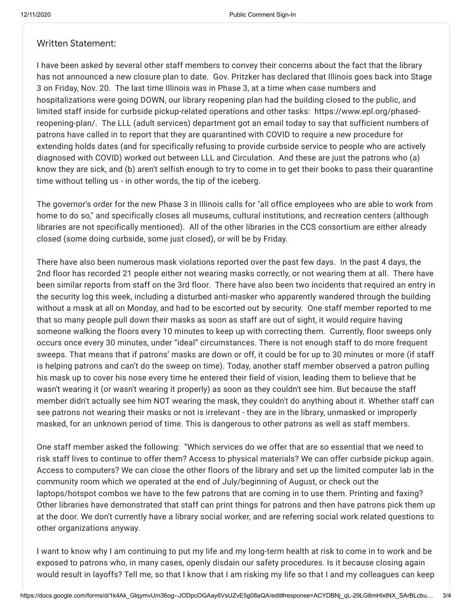#### Written Statement:

I have been asked by several other staff members to convey their concerns about the fact that the library has not announced a new closure plan to date. Gov. Pritzker has declared that Illinois goes back into Stage 3 on Friday, Nov. 20. The last time Illinois was in Phase 3, at a time when case numbers and hospitalizations were going DOWN, our library reopening plan had the building closed to the public, and limited staff inside for curbside pickup-related operations and other tasks: https://www.epl.org/phasedreopening-plan/. The LLL (adult services) department got an email today to say that sufficient numbers of patrons have called in to report that they are quarantined with COVID to require a new procedure for extending holds dates (and for specifically refusing to provide curbside service to people who are actively diagnosed with COVID) worked out between LLL and Circulation. And these are just the patrons who (a) know they are sick, and (b) aren't selfish enough to try to come in to get their books to pass their quarantine time without telling us - in other words, the tip of the iceberg.

The governor's order for the new Phase 3 in Illinois calls for "all office employees who are able to work from home to do so," and specifically closes all museums, cultural institutions, and recreation centers (although libraries are not specifically mentioned). All of the other libraries in the CCS consortium are either already closed (some doing curbside, some just closed), or will be by Friday.

There have also been numerous mask violations reported over the past few days. In the past 4 days, the 2nd floor has recorded 21 people either not wearing masks correctly, or not wearing them at all. There have been similar reports from staff on the 3rd floor. There have also been two incidents that required an entry in the security log this week, including a disturbed anti-masker who apparently wandered through the building without a mask at all on Monday, and had to be escorted out by security. One staff member reported to me that so many people pull down their masks as soon as staff are out of sight, it would require having someone walking the floors every 10 minutes to keep up with correcting them. Currently, floor sweeps only occurs once every 30 minutes, under "ideal" circumstances. There is not enough staff to do more frequent sweeps. That means that if patrons' masks are down or off, it could be for up to 30 minutes or more (if staff is helping patrons and can't do the sweep on time). Today, another staff member observed a patron pulling his mask up to cover his nose every time he entered their field of vision, leading them to believe that he wasn't wearing it (or wasn't wearing it properly) as soon as they couldn't see him. But because the staff member didn't actually see him NOT wearing the mask, they couldn't do anything about it. Whether staff can see patrons not wearing their masks or not is irrelevant - they are in the library, unmasked or improperly masked, for an unknown period of time. This is dangerous to other patrons as well as staff members.

One staff member asked the following: "Which services do we offer that are so essential that we need to risk staff lives to continue to offer them? Access to physical materials? We can offer curbside pickup again. Access to computers? We can close the other floors of the library and set up the limited computer lab in the community room which we operated at the end of July/beginning of August, or check out the laptops/hotspot combos we have to the few patrons that are coming in to use them. Printing and faxing? Other libraries have demonstrated that staff can print things for patrons and then have patrons pick them up at the door. We don't currently have a library social worker, and are referring social work related questions to other organizations anyway.

I want to know why I am continuing to put my life and my long-term health at risk to come in to work and be exposed to patrons who, in many cases, openly disdain our safety procedures. Is it because closing again would result in layoffs? Tell me, so that I know that I am risking my life so that I and my colleagues can keep